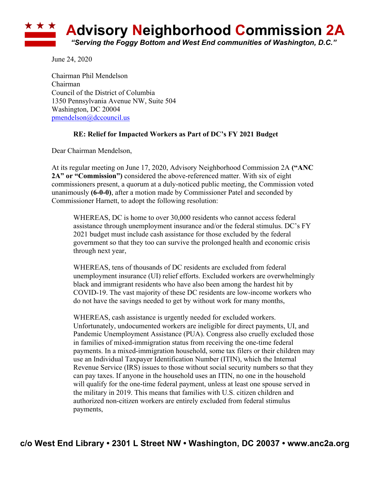

June 24, 2020

Chairman Phil Mendelson Chairman Council of the District of Columbia 1350 Pennsylvania Avenue NW, Suite 504 Washington, DC 20004 pmendelson@dccouncil.us

## **RE: Relief for Impacted Workers as Part of DC's FY 2021 Budget**

Dear Chairman Mendelson,

At its regular meeting on June 17, 2020, Advisory Neighborhood Commission 2A **("ANC 2A" or "Commission")** considered the above-referenced matter. With six of eight commissioners present, a quorum at a duly-noticed public meeting, the Commission voted unanimously **(6-0-0)**, after a motion made by Commissioner Patel and seconded by Commissioner Harnett, to adopt the following resolution:

WHEREAS, DC is home to over 30,000 residents who cannot access federal assistance through unemployment insurance and/or the federal stimulus. DC's FY 2021 budget must include cash assistance for those excluded by the federal government so that they too can survive the prolonged health and economic crisis through next year,

WHEREAS, tens of thousands of DC residents are excluded from federal unemployment insurance (UI) relief efforts. Excluded workers are overwhelmingly black and immigrant residents who have also been among the hardest hit by COVID-19. The vast majority of these DC residents are low-income workers who do not have the savings needed to get by without work for many months,

WHEREAS, cash assistance is urgently needed for excluded workers. Unfortunately, undocumented workers are ineligible for direct payments, UI, and Pandemic Unemployment Assistance (PUA). Congress also cruelly excluded those in families of mixed-immigration status from receiving the one-time federal payments. In a mixed-immigration household, some tax filers or their children may use an Individual Taxpayer Identification Number (ITIN), which the Internal Revenue Service (IRS) issues to those without social security numbers so that they can pay taxes. If anyone in the household uses an ITIN, no one in the household will qualify for the one-time federal payment, unless at least one spouse served in the military in 2019. This means that families with U.S. citizen children and authorized non-citizen workers are entirely excluded from federal stimulus payments,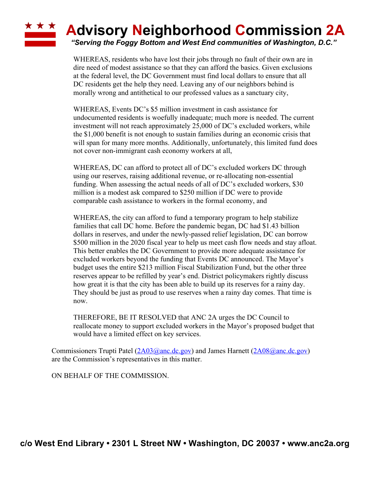## ★ ★ ★ **Advisory Neighborhood Commission 2A**

*"Serving the Foggy Bottom and West End communities of Washington, D.C."*

WHEREAS, residents who have lost their jobs through no fault of their own are in dire need of modest assistance so that they can afford the basics. Given exclusions at the federal level, the DC Government must find local dollars to ensure that all DC residents get the help they need. Leaving any of our neighbors behind is morally wrong and antithetical to our professed values as a sanctuary city,

WHEREAS, Events DC's \$5 million investment in cash assistance for undocumented residents is woefully inadequate; much more is needed. The current investment will not reach approximately 25,000 of DC's excluded workers, while the \$1,000 benefit is not enough to sustain families during an economic crisis that will span for many more months. Additionally, unfortunately, this limited fund does not cover non-immigrant cash economy workers at all,

WHEREAS, DC can afford to protect all of DC's excluded workers DC through using our reserves, raising additional revenue, or re-allocating non-essential funding. When assessing the actual needs of all of DC's excluded workers, \$30 million is a modest ask compared to \$250 million if DC were to provide comparable cash assistance to workers in the formal economy, and

WHEREAS, the city can afford to fund a temporary program to help stabilize families that call DC home. Before the pandemic began, DC had \$1.43 billion dollars in reserves, and under the newly-passed relief legislation, DC can borrow \$500 million in the 2020 fiscal year to help us meet cash flow needs and stay afloat. This better enables the DC Government to provide more adequate assistance for excluded workers beyond the funding that Events DC announced. The Mayor's budget uses the entire \$213 million Fiscal Stabilization Fund, but the other three reserves appear to be refilled by year's end. District policymakers rightly discuss how great it is that the city has been able to build up its reserves for a rainy day. They should be just as proud to use reserves when a rainy day comes. That time is now.

THEREFORE, BE IT RESOLVED that ANC 2A urges the DC Council to reallocate money to support excluded workers in the Mayor's proposed budget that would have a limited effect on key services.

Commissioners Trupti Patel (2A03@anc.dc.gov) and James Harnett (2A08@anc.dc.gov) are the Commission's representatives in this matter.

ON BEHALF OF THE COMMISSION.